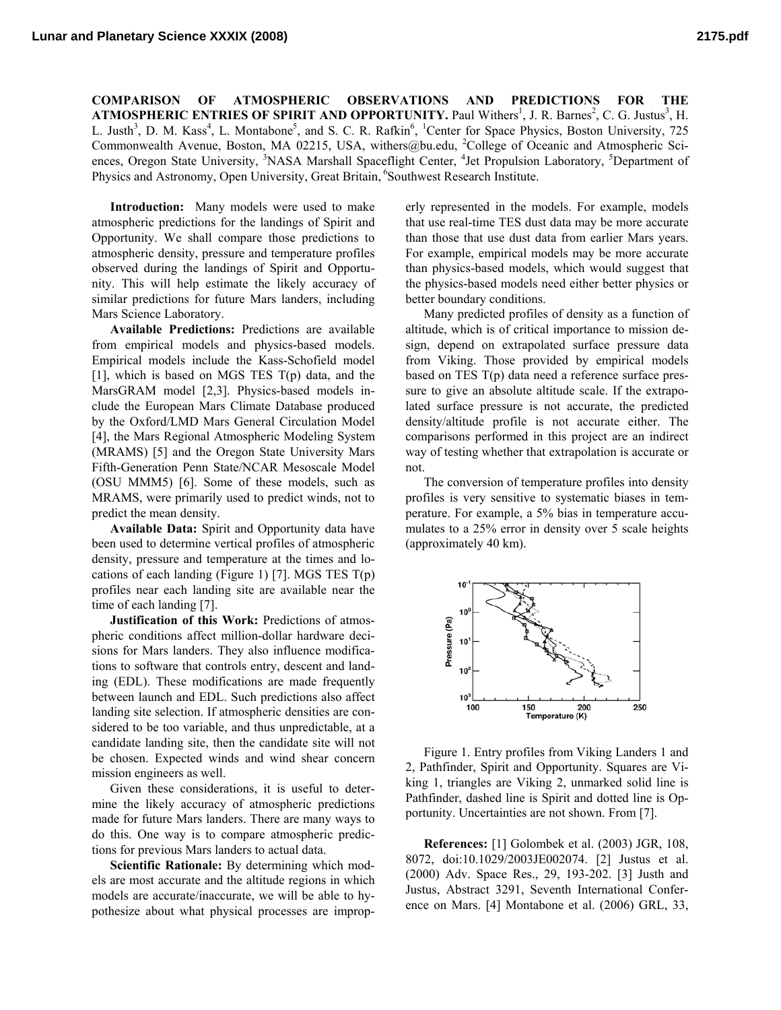**COMPARISON OF ATMOSPHERIC OBSERVATIONS AND PREDICTIONS FOR THE ATMOSPHERIC ENTRIES OF SPIRIT AND OPPORTUNITY.** Paul Withers<sup>1</sup>, J. R. Barnes<sup>2</sup>, C. G. Justus<sup>3</sup>, H. L. Justh<sup>3</sup>, D. M. Kass<sup>4</sup>, L. Montabone<sup>5</sup>, and S. C. R. Rafkin<sup>6</sup>, <sup>1</sup>Center for Space Physics, Boston University, 725 Commonwealth Avenue, Boston, MA 02215, USA, withers@bu.edu, <sup>2</sup>College of Oceanic and Atmospheric Sciences, Oregon State University, <sup>3</sup>NASA Marshall Spaceflight Center, <sup>4</sup>Jet Propulsion Laboratory, <sup>5</sup>Department of Physics and Astronomy, Open University, Great Britain, <sup>6</sup>Southwest Research Institute.

**Introduction:** Many models were used to make atmospheric predictions for the landings of Spirit and Opportunity. We shall compare those predictions to atmospheric density, pressure and temperature profiles observed during the landings of Spirit and Opportunity. This will help estimate the likely accuracy of similar predictions for future Mars landers, including Mars Science Laboratory.

**Available Predictions:** Predictions are available from empirical models and physics-based models. Empirical models include the Kass-Schofield model [1], which is based on MGS TES T(p) data, and the MarsGRAM model [2,3]. Physics-based models include the European Mars Climate Database produced by the Oxford/LMD Mars General Circulation Model [4], the Mars Regional Atmospheric Modeling System (MRAMS) [5] and the Oregon State University Mars Fifth-Generation Penn State/NCAR Mesoscale Model (OSU MMM5) [6]. Some of these models, such as MRAMS, were primarily used to predict winds, not to predict the mean density.

**Available Data:** Spirit and Opportunity data have been used to determine vertical profiles of atmospheric density, pressure and temperature at the times and locations of each landing (Figure 1) [7]. MGS TES  $T(p)$ profiles near each landing site are available near the time of each landing [7].

**Justification of this Work:** Predictions of atmospheric conditions affect million-dollar hardware decisions for Mars landers. They also influence modifications to software that controls entry, descent and landing (EDL). These modifications are made frequently between launch and EDL. Such predictions also affect landing site selection. If atmospheric densities are considered to be too variable, and thus unpredictable, at a candidate landing site, then the candidate site will not be chosen. Expected winds and wind shear concern mission engineers as well.

Given these considerations, it is useful to determine the likely accuracy of atmospheric predictions made for future Mars landers. There are many ways to do this. One way is to compare atmospheric predictions for previous Mars landers to actual data.

**Scientific Rationale:** By determining which models are most accurate and the altitude regions in which models are accurate/inaccurate, we will be able to hypothesize about what physical processes are improperly represented in the models. For example, models that use real-time TES dust data may be more accurate than those that use dust data from earlier Mars years. For example, empirical models may be more accurate than physics-based models, which would suggest that the physics-based models need either better physics or better boundary conditions.

Many predicted profiles of density as a function of altitude, which is of critical importance to mission design, depend on extrapolated surface pressure data from Viking. Those provided by empirical models based on TES T(p) data need a reference surface pressure to give an absolute altitude scale. If the extrapolated surface pressure is not accurate, the predicted density/altitude profile is not accurate either. The comparisons performed in this project are an indirect way of testing whether that extrapolation is accurate or not.

The conversion of temperature profiles into density profiles is very sensitive to systematic biases in temperature. For example, a 5% bias in temperature accumulates to a 25% error in density over 5 scale heights (approximately 40 km).



Figure 1. Entry profiles from Viking Landers 1 and 2, Pathfinder, Spirit and Opportunity. Squares are Viking 1, triangles are Viking 2, unmarked solid line is Pathfinder, dashed line is Spirit and dotted line is Opportunity. Uncertainties are not shown. From [7].

**References:** [1] Golombek et al. (2003) JGR, 108, 8072, doi:10.1029/2003JE002074. [2] Justus et al. (2000) Adv. Space Res., 29, 193-202. [3] Justh and Justus, Abstract 3291, Seventh International Conference on Mars. [4] Montabone et al. (2006) GRL, 33,